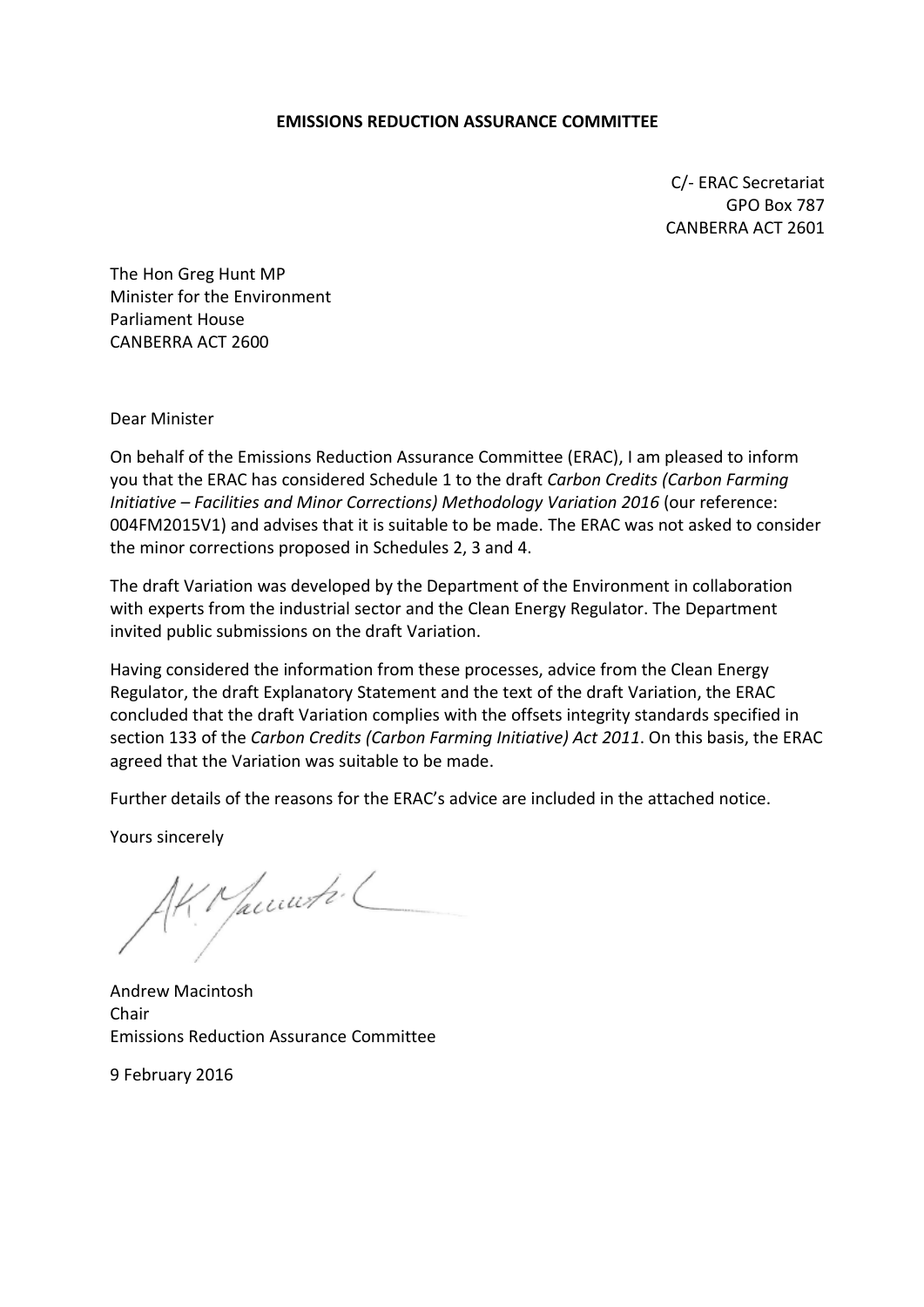#### **EMISSIONS REDUCTION ASSURANCE COMMITTEE**

C/- ERAC Secretariat GPO Box 787 CANBERRA ACT 2601

The Hon Greg Hunt MP Minister for the Environment Parliament House CANBERRA ACT 2600

Dear Minister

On behalf of the Emissions Reduction Assurance Committee (ERAC), I am pleased to inform you that the ERAC has considered Schedule 1 to the draft *Carbon Credits (Carbon Farming Initiative – Facilities and Minor Corrections) Methodology Variation 2016* (our reference: 004FM2015V1) and advises that it is suitable to be made. The ERAC was not asked to consider the minor corrections proposed in Schedules 2, 3 and 4.

The draft Variation was developed by the Department of the Environment in collaboration with experts from the industrial sector and the Clean Energy Regulator. The Department invited public submissions on the draft Variation.

Having considered the information from these processes, advice from the Clean Energy Regulator, the draft Explanatory Statement and the text of the draft Variation, the ERAC concluded that the draft Variation complies with the offsets integrity standards specified in section 133 of the *Carbon Credits (Carbon Farming Initiative) Act 2011*. On this basis, the ERAC agreed that the Variation was suitable to be made.

Further details of the reasons for the ERAC's advice are included in the attached notice.

Yours sincerely

{ Maccurter (

Andrew Macintosh Chair Emissions Reduction Assurance Committee

9 February 2016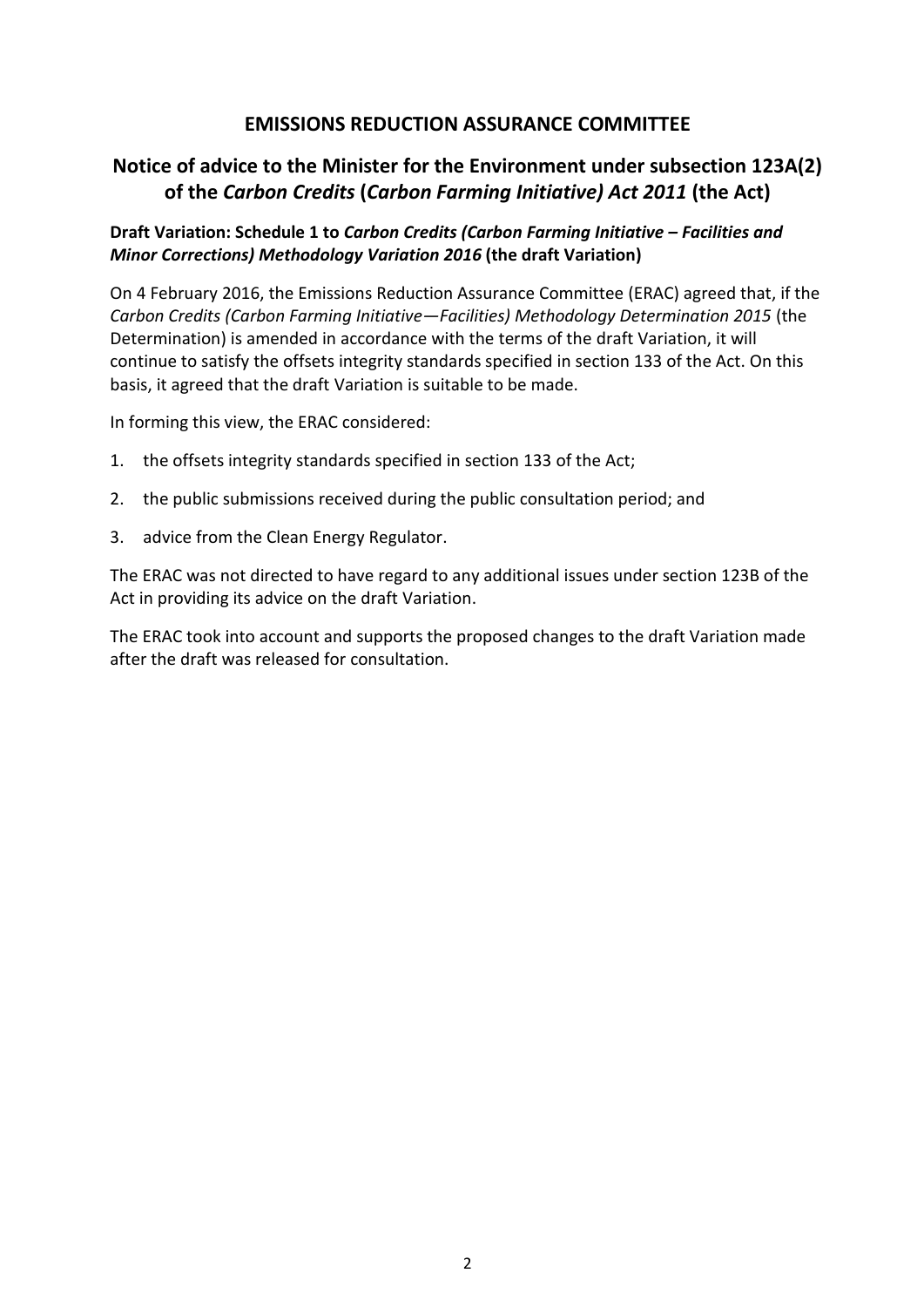## **EMISSIONS REDUCTION ASSURANCE COMMITTEE**

# **Notice of advice to the Minister for the Environment under subsection 123A(2) of the** *Carbon Credits* **(***Carbon Farming Initiative) Act 2011* **(the Act)**

## **Draft Variation: Schedule 1 to** *Carbon Credits (Carbon Farming Initiative – Facilities and Minor Corrections) Methodology Variation 2016* **(the draft Variation)**

On 4 February 2016, the Emissions Reduction Assurance Committee (ERAC) agreed that, if the *Carbon Credits (Carbon Farming Initiative—Facilities) Methodology Determination 2015* (the Determination) is amended in accordance with the terms of the draft Variation, it will continue to satisfy the offsets integrity standards specified in section 133 of the Act. On this basis, it agreed that the draft Variation is suitable to be made.

In forming this view, the ERAC considered:

- 1. the offsets integrity standards specified in section 133 of the Act;
- 2. the public submissions received during the public consultation period; and
- 3. advice from the Clean Energy Regulator.

The ERAC was not directed to have regard to any additional issues under section 123B of the Act in providing its advice on the draft Variation.

The ERAC took into account and supports the proposed changes to the draft Variation made after the draft was released for consultation.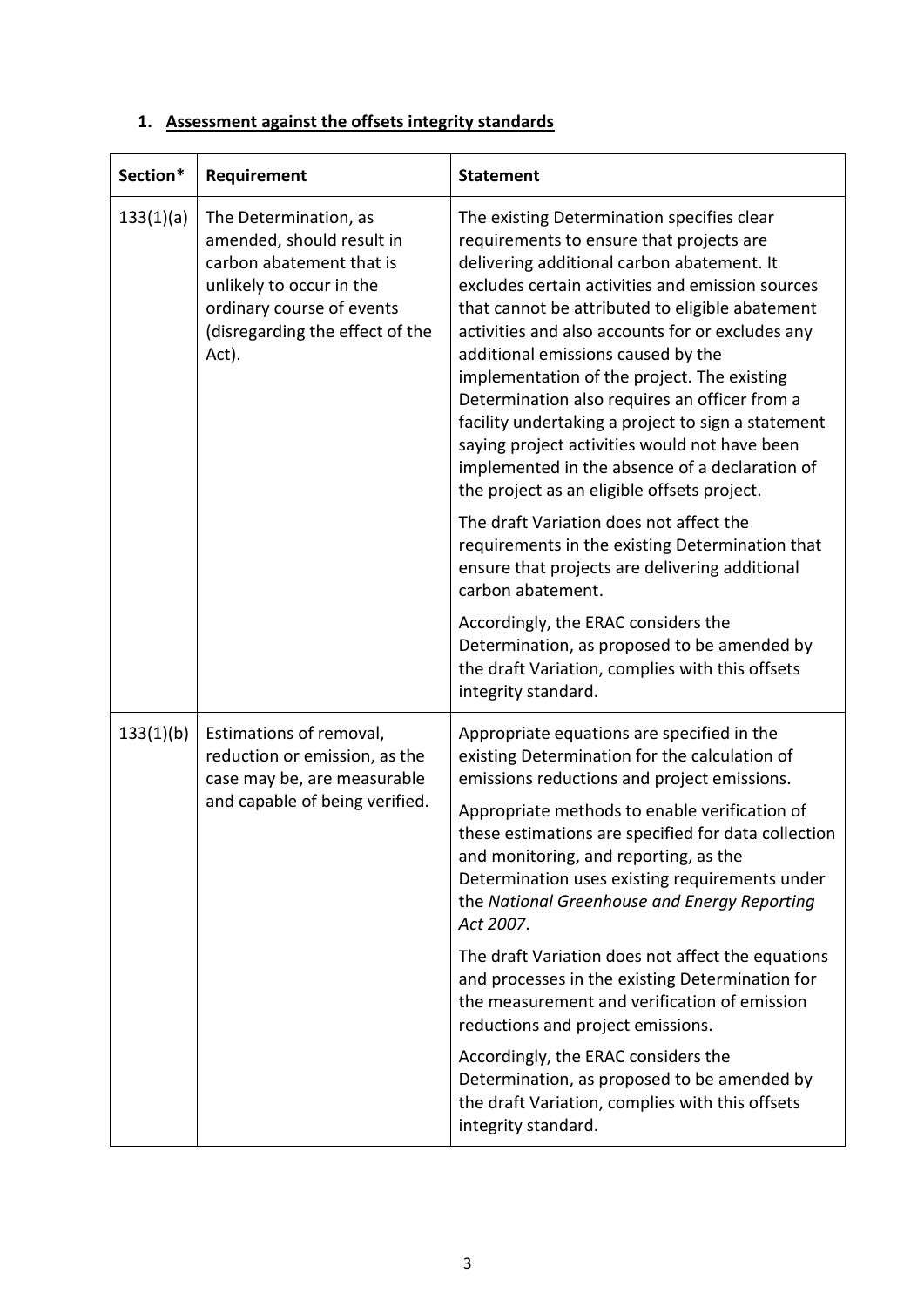# **1. Assessment against the offsets integrity standards**

| Section*  | Requirement                                                                                                                                                                         | <b>Statement</b>                                                                                                                                                                                                                                                                                                                                                                                                                                                                                                                                                                                                                                                                                                                                                                                                   |
|-----------|-------------------------------------------------------------------------------------------------------------------------------------------------------------------------------------|--------------------------------------------------------------------------------------------------------------------------------------------------------------------------------------------------------------------------------------------------------------------------------------------------------------------------------------------------------------------------------------------------------------------------------------------------------------------------------------------------------------------------------------------------------------------------------------------------------------------------------------------------------------------------------------------------------------------------------------------------------------------------------------------------------------------|
| 133(1)(a) | The Determination, as<br>amended, should result in<br>carbon abatement that is<br>unlikely to occur in the<br>ordinary course of events<br>(disregarding the effect of the<br>Act). | The existing Determination specifies clear<br>requirements to ensure that projects are<br>delivering additional carbon abatement. It<br>excludes certain activities and emission sources<br>that cannot be attributed to eligible abatement<br>activities and also accounts for or excludes any<br>additional emissions caused by the<br>implementation of the project. The existing<br>Determination also requires an officer from a<br>facility undertaking a project to sign a statement<br>saying project activities would not have been<br>implemented in the absence of a declaration of<br>the project as an eligible offsets project.<br>The draft Variation does not affect the<br>requirements in the existing Determination that<br>ensure that projects are delivering additional<br>carbon abatement. |
|           |                                                                                                                                                                                     | Accordingly, the ERAC considers the<br>Determination, as proposed to be amended by<br>the draft Variation, complies with this offsets<br>integrity standard.                                                                                                                                                                                                                                                                                                                                                                                                                                                                                                                                                                                                                                                       |
| 133(1)(b) | Estimations of removal,<br>reduction or emission, as the<br>case may be, are measurable<br>and capable of being verified.                                                           | Appropriate equations are specified in the<br>existing Determination for the calculation of<br>emissions reductions and project emissions.<br>Appropriate methods to enable verification of<br>these estimations are specified for data collection<br>and monitoring, and reporting, as the<br>Determination uses existing requirements under<br>the National Greenhouse and Energy Reporting<br>Act 2007.<br>The draft Variation does not affect the equations<br>and processes in the existing Determination for<br>the measurement and verification of emission<br>reductions and project emissions.<br>Accordingly, the ERAC considers the<br>Determination, as proposed to be amended by<br>the draft Variation, complies with this offsets<br>integrity standard.                                            |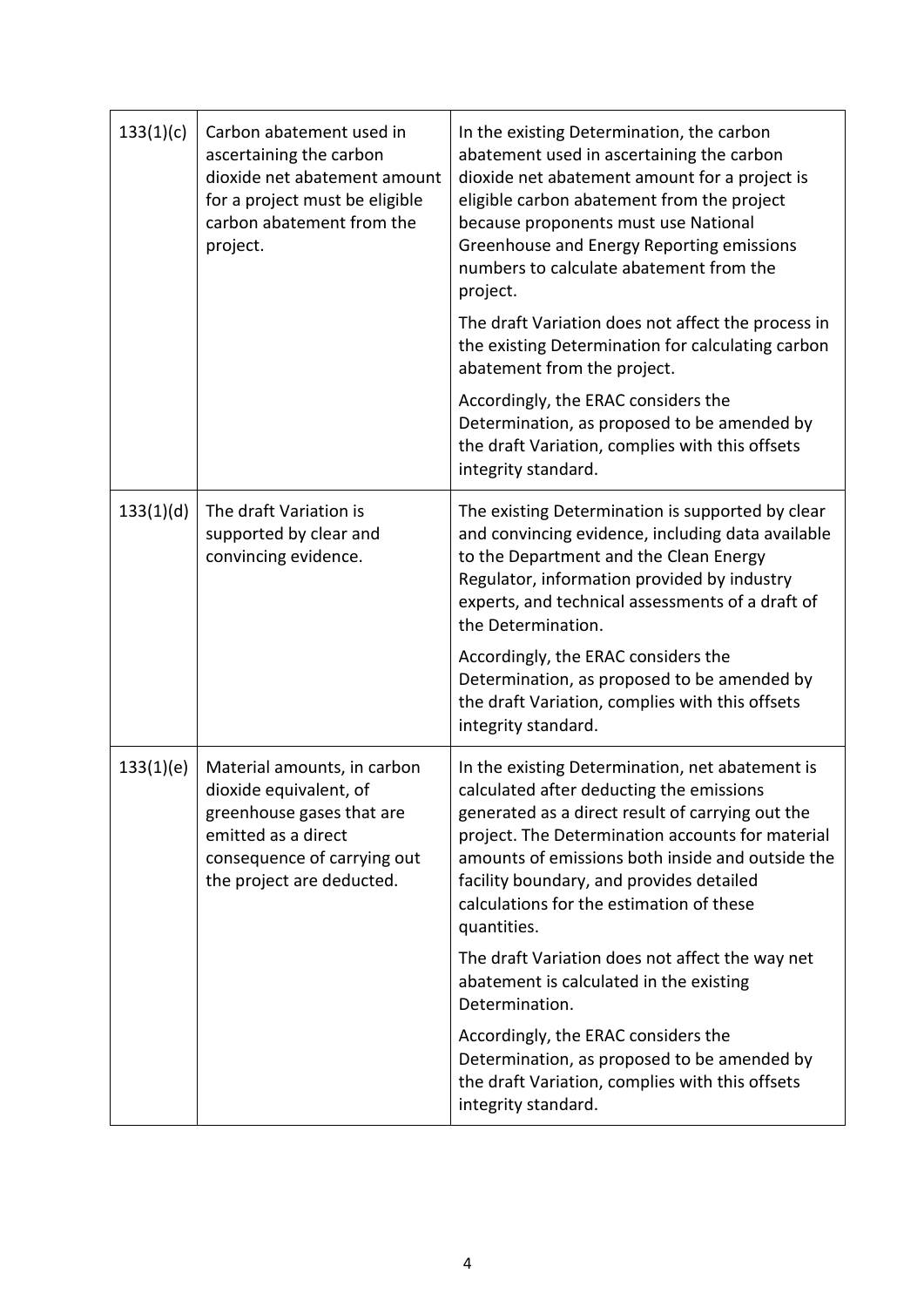| 133(1)(c) | Carbon abatement used in<br>ascertaining the carbon<br>dioxide net abatement amount<br>for a project must be eligible<br>carbon abatement from the<br>project.        | In the existing Determination, the carbon<br>abatement used in ascertaining the carbon<br>dioxide net abatement amount for a project is<br>eligible carbon abatement from the project<br>because proponents must use National<br>Greenhouse and Energy Reporting emissions<br>numbers to calculate abatement from the<br>project.                              |
|-----------|-----------------------------------------------------------------------------------------------------------------------------------------------------------------------|----------------------------------------------------------------------------------------------------------------------------------------------------------------------------------------------------------------------------------------------------------------------------------------------------------------------------------------------------------------|
|           |                                                                                                                                                                       | The draft Variation does not affect the process in<br>the existing Determination for calculating carbon<br>abatement from the project.                                                                                                                                                                                                                         |
|           |                                                                                                                                                                       | Accordingly, the ERAC considers the<br>Determination, as proposed to be amended by<br>the draft Variation, complies with this offsets<br>integrity standard.                                                                                                                                                                                                   |
| 133(1)(d) | The draft Variation is<br>supported by clear and<br>convincing evidence.                                                                                              | The existing Determination is supported by clear<br>and convincing evidence, including data available<br>to the Department and the Clean Energy<br>Regulator, information provided by industry<br>experts, and technical assessments of a draft of<br>the Determination.<br>Accordingly, the ERAC considers the<br>Determination, as proposed to be amended by |
|           |                                                                                                                                                                       | the draft Variation, complies with this offsets<br>integrity standard.                                                                                                                                                                                                                                                                                         |
| 133(1)(e) | Material amounts, in carbon<br>dioxide equivalent, of<br>greenhouse gases that are<br>emitted as a direct<br>consequence of carrying out<br>the project are deducted. | In the existing Determination, net abatement is<br>calculated after deducting the emissions<br>generated as a direct result of carrying out the<br>project. The Determination accounts for material<br>amounts of emissions both inside and outside the<br>facility boundary, and provides detailed<br>calculations for the estimation of these<br>quantities. |
|           |                                                                                                                                                                       | The draft Variation does not affect the way net<br>abatement is calculated in the existing<br>Determination.                                                                                                                                                                                                                                                   |
|           |                                                                                                                                                                       | Accordingly, the ERAC considers the<br>Determination, as proposed to be amended by<br>the draft Variation, complies with this offsets<br>integrity standard.                                                                                                                                                                                                   |